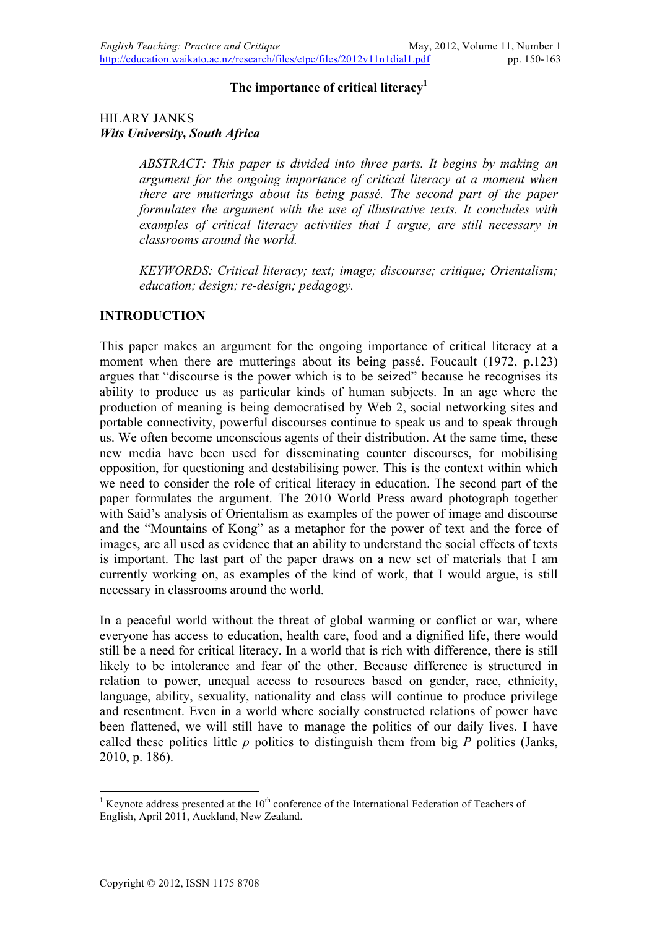### **The importance of critical literacy<sup>1</sup>**

#### HILARY JANKS *Wits University, South Africa*

*ABSTRACT: This paper is divided into three parts. It begins by making an argument for the ongoing importance of critical literacy at a moment when there are mutterings about its being passé. The second part of the paper formulates the argument with the use of illustrative texts. It concludes with examples of critical literacy activities that I argue, are still necessary in classrooms around the world.*

*KEYWORDS: Critical literacy; text; image; discourse; critique; Orientalism; education; design; re-design; pedagogy.*

### **INTRODUCTION**

This paper makes an argument for the ongoing importance of critical literacy at a moment when there are mutterings about its being passé. Foucault (1972, p.123) argues that "discourse is the power which is to be seized" because he recognises its ability to produce us as particular kinds of human subjects. In an age where the production of meaning is being democratised by Web 2, social networking sites and portable connectivity, powerful discourses continue to speak us and to speak through us. We often become unconscious agents of their distribution. At the same time, these new media have been used for disseminating counter discourses, for mobilising opposition, for questioning and destabilising power. This is the context within which we need to consider the role of critical literacy in education. The second part of the paper formulates the argument. The 2010 World Press award photograph together with Said's analysis of Orientalism as examples of the power of image and discourse and the "Mountains of Kong" as a metaphor for the power of text and the force of images, are all used as evidence that an ability to understand the social effects of texts is important. The last part of the paper draws on a new set of materials that I am currently working on, as examples of the kind of work, that I would argue, is still necessary in classrooms around the world.

In a peaceful world without the threat of global warming or conflict or war, where everyone has access to education, health care, food and a dignified life, there would still be a need for critical literacy. In a world that is rich with difference, there is still likely to be intolerance and fear of the other. Because difference is structured in relation to power, unequal access to resources based on gender, race, ethnicity, language, ability, sexuality, nationality and class will continue to produce privilege and resentment. Even in a world where socially constructed relations of power have been flattened, we will still have to manage the politics of our daily lives. I have called these politics little *p* politics to distinguish them from big *P* politics (Janks, 2010, p. 186).

<sup>&</sup>lt;sup>1</sup> Keynote address presented at the  $10<sup>th</sup>$  conference of the International Federation of Teachers of English, April 2011, Auckland, New Zealand.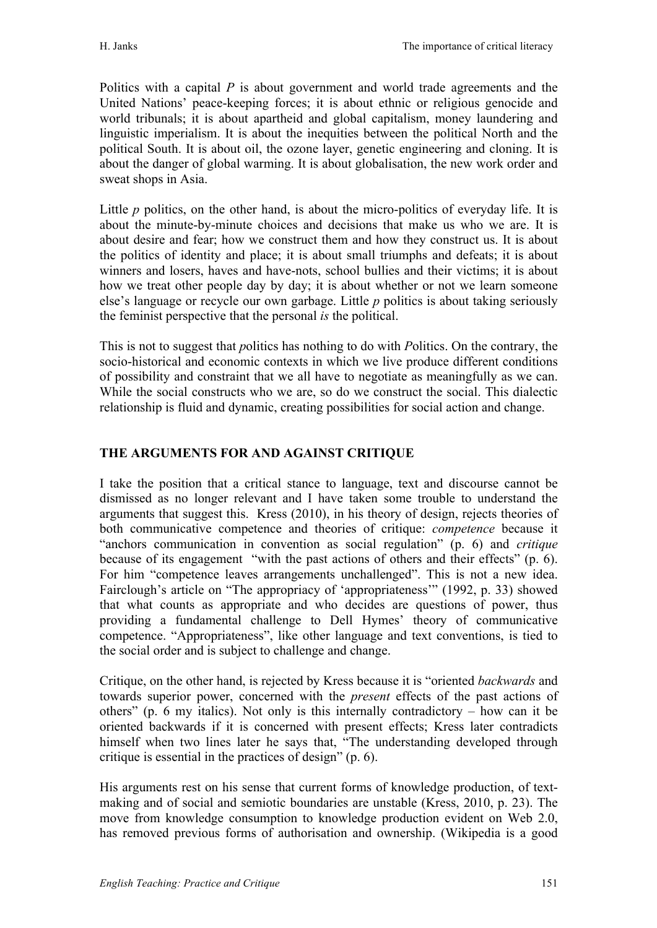Politics with a capital *P* is about government and world trade agreements and the United Nations' peace-keeping forces; it is about ethnic or religious genocide and world tribunals; it is about apartheid and global capitalism, money laundering and linguistic imperialism. It is about the inequities between the political North and the political South. It is about oil, the ozone layer, genetic engineering and cloning. It is about the danger of global warming. It is about globalisation, the new work order and sweat shops in Asia.

Little *p* politics, on the other hand, is about the micro-politics of everyday life. It is about the minute-by-minute choices and decisions that make us who we are. It is about desire and fear; how we construct them and how they construct us. It is about the politics of identity and place; it is about small triumphs and defeats; it is about winners and losers, haves and have-nots, school bullies and their victims; it is about how we treat other people day by day; it is about whether or not we learn someone else's language or recycle our own garbage. Little *p* politics is about taking seriously the feminist perspective that the personal *is* the political.

This is not to suggest that *p*olitics has nothing to do with *P*olitics. On the contrary, the socio-historical and economic contexts in which we live produce different conditions of possibility and constraint that we all have to negotiate as meaningfully as we can. While the social constructs who we are, so do we construct the social. This dialectic relationship is fluid and dynamic, creating possibilities for social action and change.

## **THE ARGUMENTS FOR AND AGAINST CRITIQUE**

I take the position that a critical stance to language, text and discourse cannot be dismissed as no longer relevant and I have taken some trouble to understand the arguments that suggest this. Kress (2010), in his theory of design, rejects theories of both communicative competence and theories of critique: *competence* because it "anchors communication in convention as social regulation" (p. 6) and *critique* because of its engagement "with the past actions of others and their effects" (p. 6). For him "competence leaves arrangements unchallenged". This is not a new idea. Fairclough's article on "The appropriacy of 'appropriateness'" (1992, p. 33) showed that what counts as appropriate and who decides are questions of power, thus providing a fundamental challenge to Dell Hymes' theory of communicative competence. "Appropriateness", like other language and text conventions, is tied to the social order and is subject to challenge and change.

Critique, on the other hand, is rejected by Kress because it is "oriented *backwards* and towards superior power, concerned with the *present* effects of the past actions of others" (p. 6 my italics). Not only is this internally contradictory – how can it be oriented backwards if it is concerned with present effects; Kress later contradicts himself when two lines later he says that, "The understanding developed through critique is essential in the practices of design" (p. 6).

His arguments rest on his sense that current forms of knowledge production, of textmaking and of social and semiotic boundaries are unstable (Kress, 2010, p. 23). The move from knowledge consumption to knowledge production evident on Web 2.0, has removed previous forms of authorisation and ownership. (Wikipedia is a good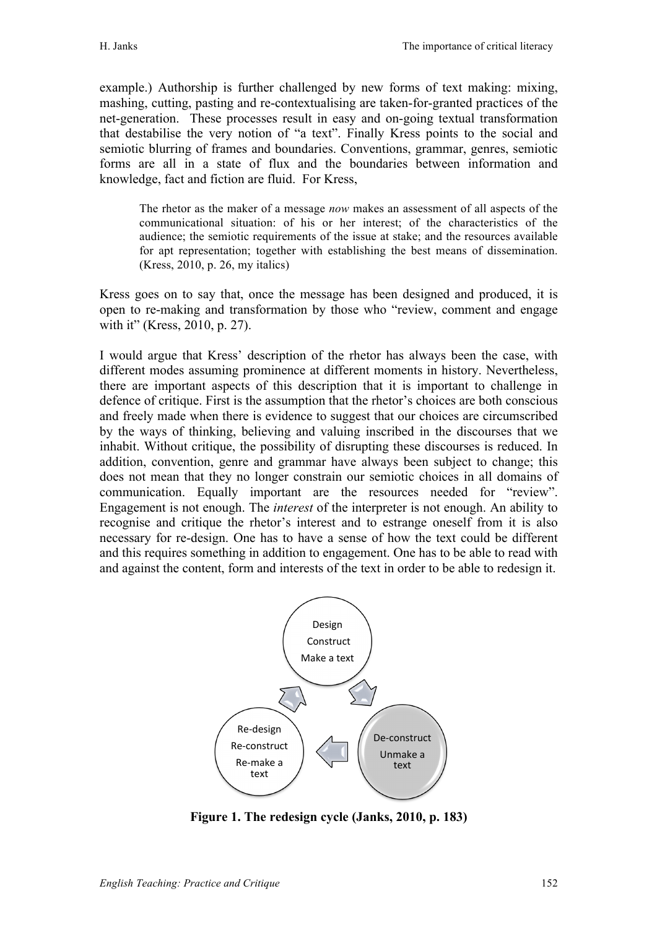example.) Authorship is further challenged by new forms of text making: mixing, mashing, cutting, pasting and re-contextualising are taken-for-granted practices of the net-generation. These processes result in easy and on-going textual transformation that destabilise the very notion of "a text". Finally Kress points to the social and semiotic blurring of frames and boundaries. Conventions, grammar, genres, semiotic forms are all in a state of flux and the boundaries between information and knowledge, fact and fiction are fluid. For Kress,

The rhetor as the maker of a message *now* makes an assessment of all aspects of the communicational situation: of his or her interest; of the characteristics of the audience; the semiotic requirements of the issue at stake; and the resources available for apt representation; together with establishing the best means of dissemination. (Kress, 2010, p. 26, my italics)

Kress goes on to say that, once the message has been designed and produced, it is open to re-making and transformation by those who "review, comment and engage with it" (Kress, 2010, p. 27).

I would argue that Kress' description of the rhetor has always been the case, with different modes assuming prominence at different moments in history. Nevertheless, there are important aspects of this description that it is important to challenge in defence of critique. First is the assumption that the rhetor's choices are both conscious and freely made when there is evidence to suggest that our choices are circumscribed by the ways of thinking, believing and valuing inscribed in the discourses that we inhabit. Without critique, the possibility of disrupting these discourses is reduced. In addition, convention, genre and grammar have always been subject to change; this does not mean that they no longer constrain our semiotic choices in all domains of communication. Equally important are the resources needed for "review". Engagement is not enough. The *interest* of the interpreter is not enough. An ability to recognise and critique the rhetor's interest and to estrange oneself from it is also necessary for re-design. One has to have a sense of how the text could be different and this requires something in addition to engagement. One has to be able to read with and against the content, form and interests of the text in order to be able to redesign it.



**Figure 1. The redesign cycle (Janks, 2010, p. 183)**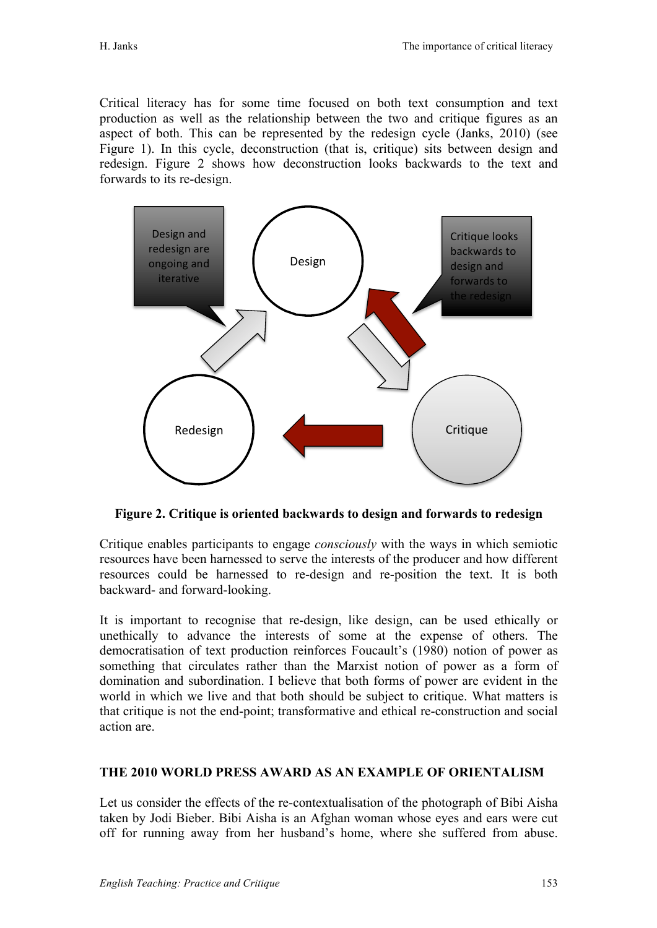Critical literacy has for some time focused on both text consumption and text production as well as the relationship between the two and critique figures as an aspect of both. This can be represented by the redesign cycle (Janks, 2010) (see Figure 1). In this cycle, deconstruction (that is, critique) sits between design and redesign. Figure 2 shows how deconstruction looks backwards to the text and forwards to its re-design.



**Figure 2. Critique is oriented backwards to design and forwards to redesign**

Critique enables participants to engage *consciously* with the ways in which semiotic resources have been harnessed to serve the interests of the producer and how different resources could be harnessed to re-design and re-position the text. It is both backward- and forward-looking.

It is important to recognise that re-design, like design, can be used ethically or unethically to advance the interests of some at the expense of others. The democratisation of text production reinforces Foucault's (1980) notion of power as something that circulates rather than the Marxist notion of power as a form of domination and subordination. I believe that both forms of power are evident in the world in which we live and that both should be subject to critique. What matters is that critique is not the end-point; transformative and ethical re-construction and social action are.

### **THE 2010 WORLD PRESS AWARD AS AN EXAMPLE OF ORIENTALISM**

Let us consider the effects of the re-contextualisation of the photograph of Bibi Aisha taken by Jodi Bieber. Bibi Aisha is an Afghan woman whose eyes and ears were cut off for running away from her husband's home, where she suffered from abuse.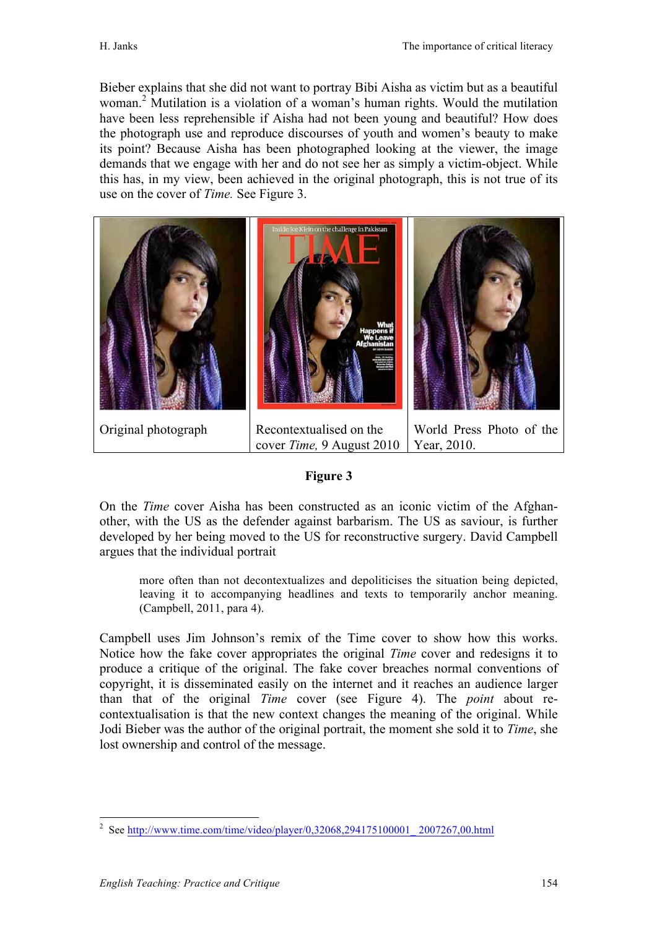Bieber explains that she did not want to portray Bibi Aisha as victim but as a beautiful woman. <sup>2</sup> Mutilation is a violation of a woman's human rights. Would the mutilation have been less reprehensible if Aisha had not been young and beautiful? How does the photograph use and reproduce discourses of youth and women's beauty to make its point? Because Aisha has been photographed looking at the viewer, the image demands that we engage with her and do not see her as simply a victim-object. While this has, in my view, been achieved in the original photograph, this is not true of its use on the cover of *Time.* See Figure 3.



# **Figure 3**

On the *Time* cover Aisha has been constructed as an iconic victim of the Afghanother, with the US as the defender against barbarism. The US as saviour, is further developed by her being moved to the US for reconstructive surgery. David Campbell argues that the individual portrait

more often than not decontextualizes and depoliticises the situation being depicted, leaving it to accompanying headlines and texts to temporarily anchor meaning. (Campbell, 2011, para 4).

Campbell uses Jim Johnson's remix of the Time cover to show how this works. Notice how the fake cover appropriates the original *Time* cover and redesigns it to produce a critique of the original. The fake cover breaches normal conventions of copyright, it is disseminated easily on the internet and it reaches an audience larger than that of the original *Time* cover (see Figure 4). The *point* about recontextualisation is that the new context changes the meaning of the original. While Jodi Bieber was the author of the original portrait, the moment she sold it to *Time*, she lost ownership and control of the message.

 $\frac{1}{2}$ <sup>2</sup> See http://www.time.com/time/video/player/0,32068,294175100001\_ 2007267,00.html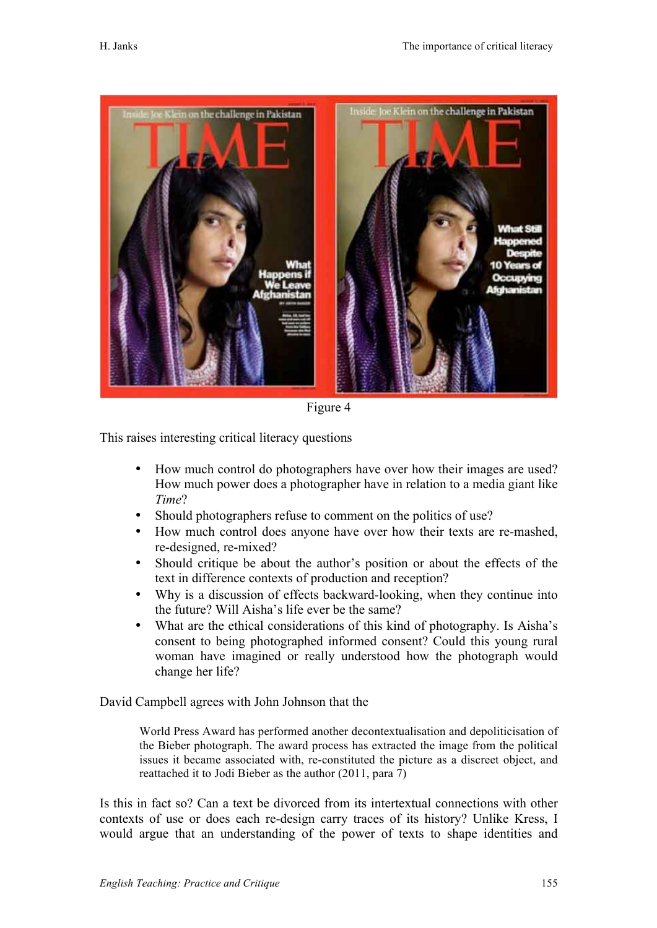

Figure 4

This raises interesting critical literacy questions

- How much control do photographers have over how their images are used? How much power does a photographer have in relation to a media giant like *Time*?
- Should photographers refuse to comment on the politics of use?
- How much control does anyone have over how their texts are re-mashed, re-designed, re-mixed?
- Should critique be about the author's position or about the effects of the text in difference contexts of production and reception?
- Why is a discussion of effects backward-looking, when they continue into the future? Will Aisha's life ever be the same?
- What are the ethical considerations of this kind of photography. Is Aisha's consent to being photographed informed consent? Could this young rural woman have imagined or really understood how the photograph would change her life?

David Campbell agrees with John Johnson that the

World Press Award has performed another decontextualisation and depoliticisation of the Bieber photograph. The award process has extracted the image from the political issues it became associated with, re-constituted the picture as a discreet object, and reattached it to Jodi Bieber as the author (2011, para 7)

Is this in fact so? Can a text be divorced from its intertextual connections with other contexts of use or does each re-design carry traces of its history? Unlike Kress, I would argue that an understanding of the power of texts to shape identities and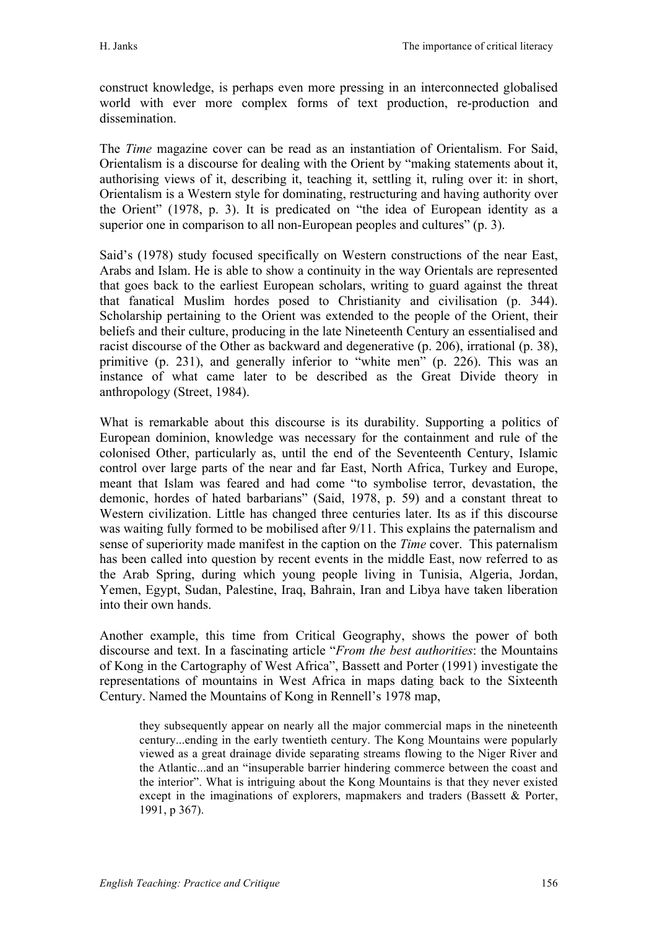construct knowledge, is perhaps even more pressing in an interconnected globalised world with ever more complex forms of text production, re-production and dissemination.

The *Time* magazine cover can be read as an instantiation of Orientalism. For Said, Orientalism is a discourse for dealing with the Orient by "making statements about it, authorising views of it, describing it, teaching it, settling it, ruling over it: in short, Orientalism is a Western style for dominating, restructuring and having authority over the Orient" (1978, p. 3). It is predicated on "the idea of European identity as a superior one in comparison to all non-European peoples and cultures" (p. 3).

Said's (1978) study focused specifically on Western constructions of the near East, Arabs and Islam. He is able to show a continuity in the way Orientals are represented that goes back to the earliest European scholars, writing to guard against the threat that fanatical Muslim hordes posed to Christianity and civilisation (p. 344). Scholarship pertaining to the Orient was extended to the people of the Orient, their beliefs and their culture, producing in the late Nineteenth Century an essentialised and racist discourse of the Other as backward and degenerative (p. 206), irrational (p. 38), primitive (p. 231), and generally inferior to "white men" (p. 226). This was an instance of what came later to be described as the Great Divide theory in anthropology (Street, 1984).

What is remarkable about this discourse is its durability. Supporting a politics of European dominion, knowledge was necessary for the containment and rule of the colonised Other, particularly as, until the end of the Seventeenth Century, Islamic control over large parts of the near and far East, North Africa, Turkey and Europe, meant that Islam was feared and had come "to symbolise terror, devastation, the demonic, hordes of hated barbarians" (Said, 1978, p. 59) and a constant threat to Western civilization. Little has changed three centuries later. Its as if this discourse was waiting fully formed to be mobilised after 9/11. This explains the paternalism and sense of superiority made manifest in the caption on the *Time* cover. This paternalism has been called into question by recent events in the middle East, now referred to as the Arab Spring, during which young people living in Tunisia, Algeria, Jordan, Yemen, Egypt, Sudan, Palestine, Iraq, Bahrain, Iran and Libya have taken liberation into their own hands.

Another example, this time from Critical Geography, shows the power of both discourse and text. In a fascinating article "*From the best authorities*: the Mountains of Kong in the Cartography of West Africa", Bassett and Porter (1991) investigate the representations of mountains in West Africa in maps dating back to the Sixteenth Century. Named the Mountains of Kong in Rennell's 1978 map,

they subsequently appear on nearly all the major commercial maps in the nineteenth century...ending in the early twentieth century. The Kong Mountains were popularly viewed as a great drainage divide separating streams flowing to the Niger River and the Atlantic...and an "insuperable barrier hindering commerce between the coast and the interior". What is intriguing about the Kong Mountains is that they never existed except in the imaginations of explorers, mapmakers and traders (Bassett & Porter, 1991, p 367).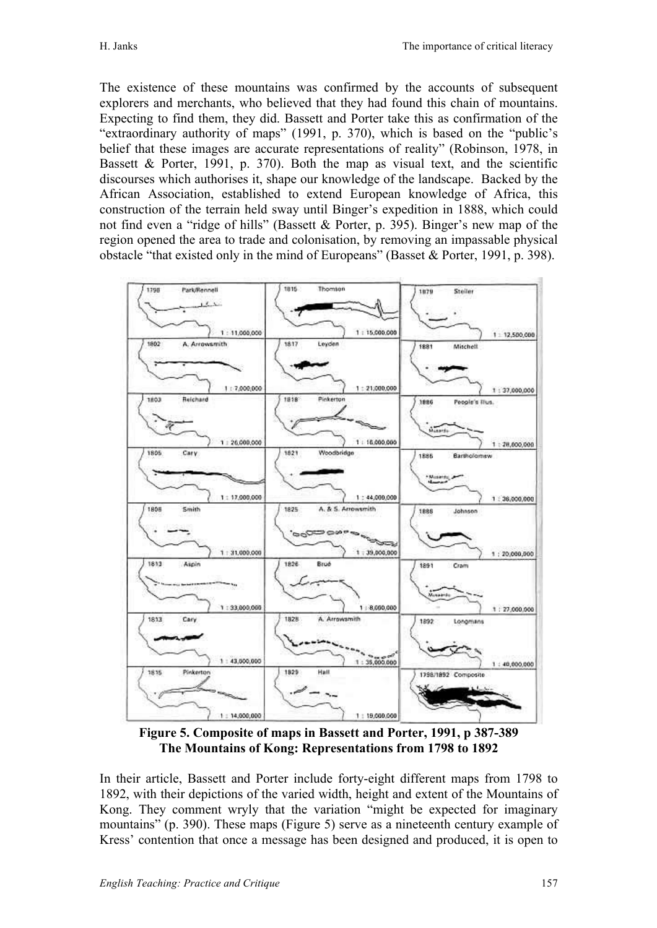The existence of these mountains was confirmed by the accounts of subsequent explorers and merchants, who believed that they had found this chain of mountains. Expecting to find them, they did. Bassett and Porter take this as confirmation of the "extraordinary authority of maps" (1991, p. 370), which is based on the "public's belief that these images are accurate representations of reality" (Robinson, 1978, in Bassett & Porter, 1991, p. 370). Both the map as visual text, and the scientific discourses which authorises it, shape our knowledge of the landscape. Backed by the African Association, established to extend European knowledge of Africa, this construction of the terrain held sway until Binger's expedition in 1888, which could not find even a "ridge of hills" (Bassett & Porter, p. 395). Binger's new map of the region opened the area to trade and colonisation, by removing an impassable physical obstacle "that existed only in the mind of Europeans" (Basset & Porter, 1991, p. 398).



**Figure 5. Composite of maps in Bassett and Porter, 1991, p 387-389 The Mountains of Kong: Representations from 1798 to 1892**

In their article, Bassett and Porter include forty-eight different maps from 1798 to 1892, with their depictions of the varied width, height and extent of the Mountains of Kong. They comment wryly that the variation "might be expected for imaginary mountains" (p. 390). These maps (Figure 5) serve as a nineteenth century example of Kress' contention that once a message has been designed and produced, it is open to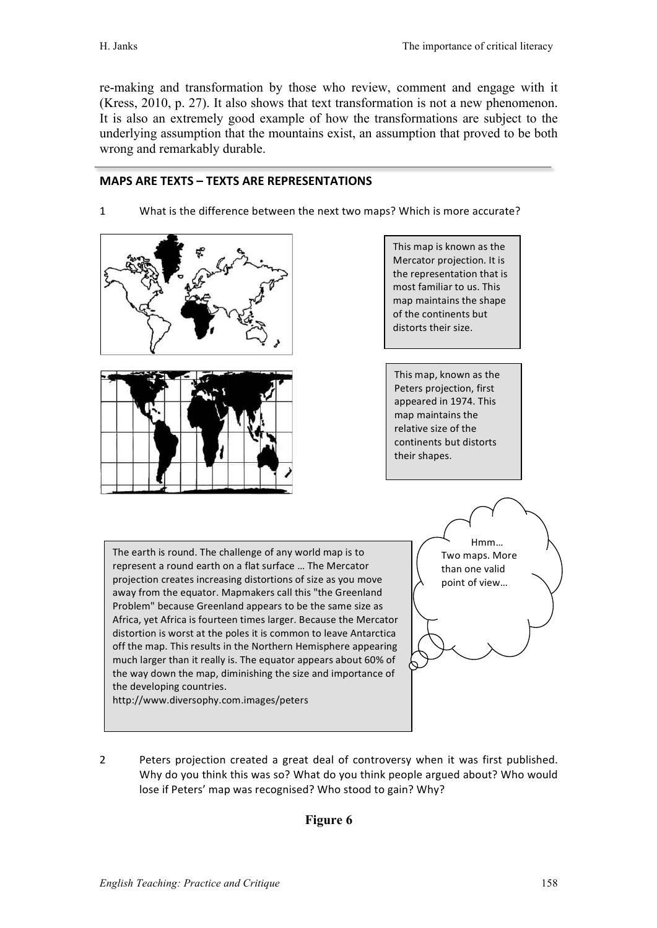re-making and transformation by those who review, comment and engage with it (Kress, 2010, p. 27). It also shows that text transformation is not a new phenomenon. It is also an extremely good example of how the transformations are subject to the underlying assumption that the mountains exist, an assumption that proved to be both wrong and remarkably durable.

#### **MAPS%ARE%TEXTS%– TEXTS%ARE%REPRESENTATIONS**

1 What is the difference between the next two maps? Which is more accurate?



2 Peters projection created a great deal of controversy when it was first published. Why do you think this was so? What do you think people argued about? Who would lose if Peters' map was recognised? Who stood to gain? Why?

# **Figure 6**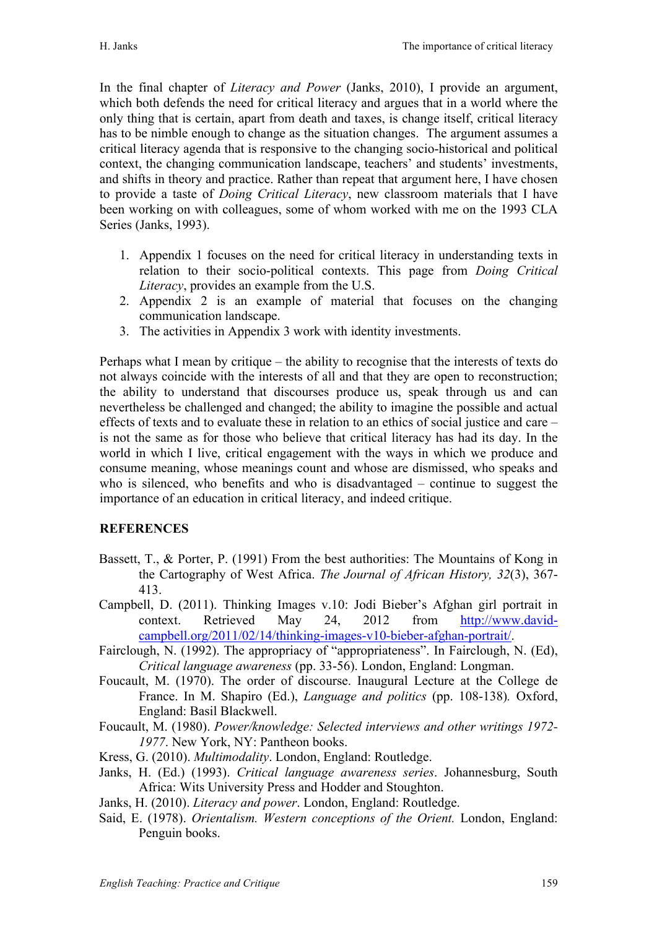In the final chapter of *Literacy and Power* (Janks, 2010), I provide an argument, which both defends the need for critical literacy and argues that in a world where the only thing that is certain, apart from death and taxes, is change itself, critical literacy has to be nimble enough to change as the situation changes. The argument assumes a critical literacy agenda that is responsive to the changing socio-historical and political context, the changing communication landscape, teachers' and students' investments, and shifts in theory and practice. Rather than repeat that argument here, I have chosen to provide a taste of *Doing Critical Literacy*, new classroom materials that I have been working on with colleagues, some of whom worked with me on the 1993 CLA Series (Janks, 1993).

- 1. Appendix 1 focuses on the need for critical literacy in understanding texts in relation to their socio-political contexts. This page from *Doing Critical Literacy*, provides an example from the U.S.
- 2. Appendix 2 is an example of material that focuses on the changing communication landscape.
- 3. The activities in Appendix 3 work with identity investments.

Perhaps what I mean by critique – the ability to recognise that the interests of texts do not always coincide with the interests of all and that they are open to reconstruction; the ability to understand that discourses produce us, speak through us and can nevertheless be challenged and changed; the ability to imagine the possible and actual effects of texts and to evaluate these in relation to an ethics of social justice and care – is not the same as for those who believe that critical literacy has had its day. In the world in which I live, critical engagement with the ways in which we produce and consume meaning, whose meanings count and whose are dismissed, who speaks and who is silenced, who benefits and who is disadvantaged – continue to suggest the importance of an education in critical literacy, and indeed critique.

#### **REFERENCES**

- Bassett, T., & Porter, P. (1991) From the best authorities: The Mountains of Kong in the Cartography of West Africa. *The Journal of African History, 32*(3), 367- 413.
- Campbell, D. (2011). Thinking Images v.10: Jodi Bieber's Afghan girl portrait in context. Retrieved May 24, 2012 from http://www.davidcampbell.org/2011/02/14/thinking-images-v10-bieber-afghan-portrait/.
- Fairclough, N. (1992). The appropriacy of "appropriateness". In Fairclough, N. (Ed), *Critical language awareness* (pp. 33-56). London, England: Longman.
- Foucault, M. (1970). The order of discourse. Inaugural Lecture at the College de France. In M. Shapiro (Ed.), *Language and politics* (pp. 108-138)*.* Oxford, England: Basil Blackwell.
- Foucault, M. (1980). *Power/knowledge: Selected interviews and other writings 1972- 1977*. New York, NY: Pantheon books.
- Kress, G. (2010). *Multimodality*. London, England: Routledge.
- Janks, H. (Ed.) (1993). *Critical language awareness series*. Johannesburg, South Africa: Wits University Press and Hodder and Stoughton.
- Janks, H. (2010). *Literacy and power*. London, England: Routledge.
- Said, E. (1978). *Orientalism. Western conceptions of the Orient.* London, England: Penguin books.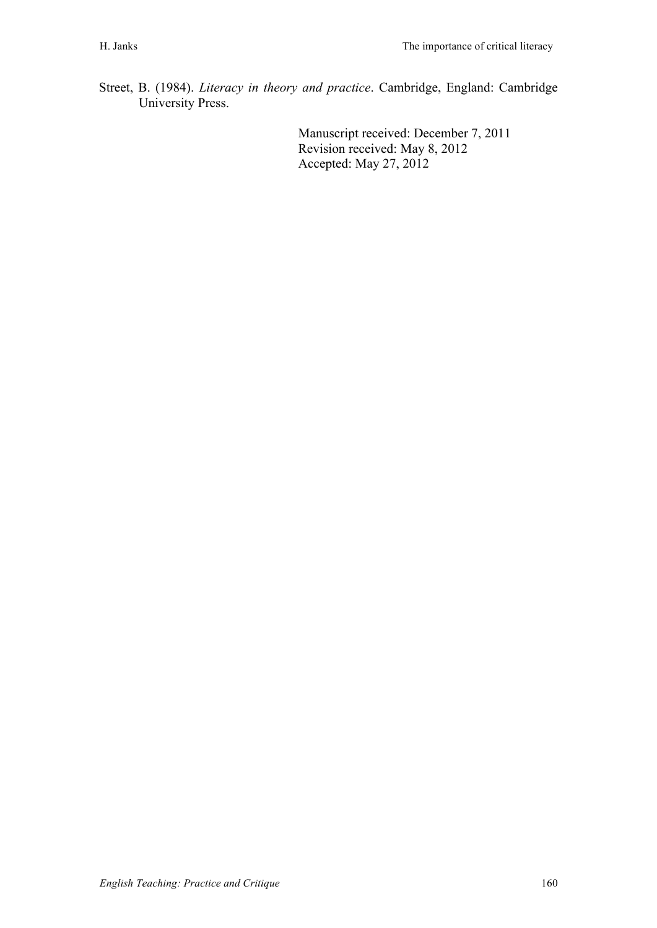Street, B. (1984). *Literacy in theory and practice*. Cambridge, England: Cambridge University Press.

> Manuscript received: December 7, 2011 Revision received: May 8, 2012 Accepted: May 27, 2012